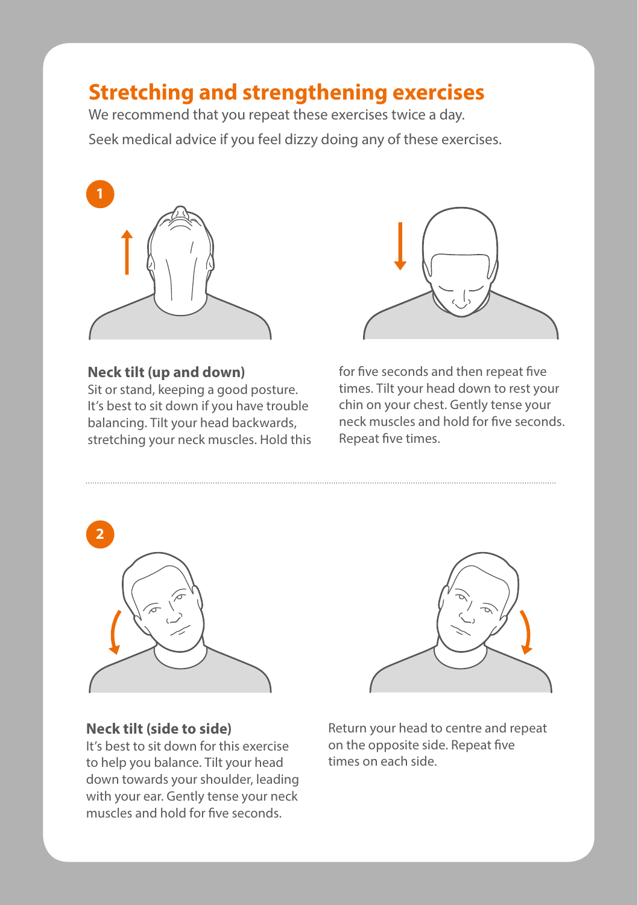# **Stretching and strengthening exercises**

We recommend that you repeat these exercises twice a day. Seek medical advice if you feel dizzy doing any of these exercises.



**Neck tilt (up and down)** Sit or stand, keeping a good posture. It's best to sit down if you have trouble balancing. Tilt your head backwards, stretching your neck muscles. Hold this



for five seconds and then repeat five times. Tilt your head down to rest your chin on your chest. Gently tense your neck muscles and hold for five seconds. Repeat five times.



# **Neck tilt (side to side)**

It's best to sit down for this exercise to help you balance. Tilt your head down towards your shoulder, leading with your ear. Gently tense your neck muscles and hold for five seconds.

Return your head to centre and repeat on the opposite side. Repeat five times on each side.